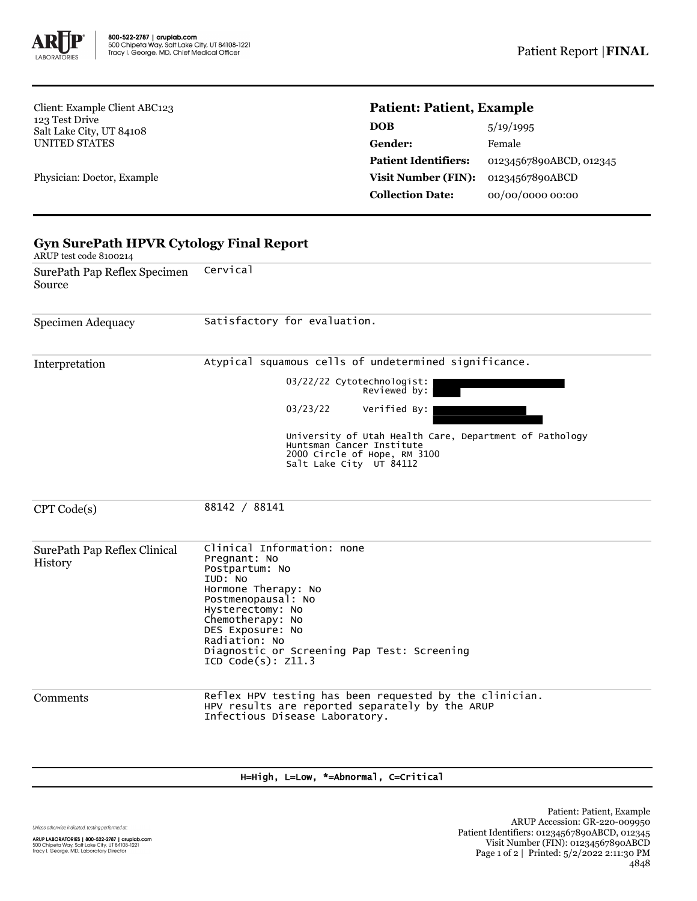

Client: Example Client ABC123 123 Test Drive Salt Lake City, UT 84108 UNITED STATES

Physician: Doctor, Example

## **Patient: Patient, Example**

| <b>DOB</b>                  | 5/19/1995               |
|-----------------------------|-------------------------|
| Gender:                     | Female                  |
| <b>Patient Identifiers:</b> | 01234567890ABCD, 012345 |
| <b>Visit Number (FIN):</b>  | 01234567890ABCD         |
| <b>Collection Date:</b>     | 00/00/0000 00:00        |

| SurePath Pap Reflex Specimen<br>Source  | Cervical                                                                                                                                                                                                                                                                            |  |  |  |  |
|-----------------------------------------|-------------------------------------------------------------------------------------------------------------------------------------------------------------------------------------------------------------------------------------------------------------------------------------|--|--|--|--|
| Specimen Adequacy                       | Satisfactory for evaluation.                                                                                                                                                                                                                                                        |  |  |  |  |
| Interpretation                          | Atypical squamous cells of undetermined significance.                                                                                                                                                                                                                               |  |  |  |  |
|                                         | 03/22/22 Cytotechnologist:<br>Reviewed by:                                                                                                                                                                                                                                          |  |  |  |  |
|                                         | Verified By:<br>03/23/22                                                                                                                                                                                                                                                            |  |  |  |  |
|                                         | University of Utah Health Care, Department of Pathology<br>Huntsman Cancer Institute<br>2000 Circle of Hope, RM 3100<br>Salt Lake City UT 84112                                                                                                                                     |  |  |  |  |
| CPT Code(s)                             | 88142 / 88141                                                                                                                                                                                                                                                                       |  |  |  |  |
| SurePath Pap Reflex Clinical<br>History | Clinical Information: none<br>Pregnant: No<br>Postpartum: No<br>IUD: NO<br>Hormone Therapy: No<br>Postmenopausal: No<br>Hysterectomy: No<br>Chemotherapy: No<br>DES Exposure: No<br>Radiation: No<br>Diagnostic or Screening Pap Test: Screening<br>ICD <sup>o</sup> Code(s): Z11.3 |  |  |  |  |
| Comments                                | Reflex HPV testing has been requested by the clinician.<br>HPV results are reported separately by the ARUP<br>Infectious Disease Laboratory.                                                                                                                                        |  |  |  |  |

## H=High, L=Low, \*=Abnormal, C=Critical

Unless otherwise indicated, testing performed at: